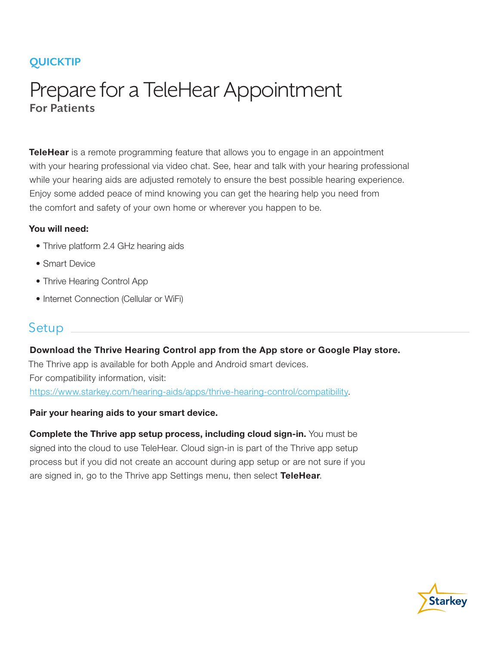## **QUICKTIP**

# Prepare for a TeleHear Appointment **For Patients**

TeleHear is a remote programming feature that allows you to engage in an appointment with your hearing professional via video chat. See, hear and talk with your hearing professional while your hearing aids are adjusted remotely to ensure the best possible hearing experience. Enjoy some added peace of mind knowing you can get the hearing help you need from the comfort and safety of your own home or wherever you happen to be.

#### You will need:

- Thrive platform 2.4 GHz hearing aids
- Smart Device
- Thrive Hearing Control App
- Internet Connection (Cellular or WiFi)

### **Setup**

Download the Thrive Hearing Control app from the App store or Google Play store. The Thrive app is available for both Apple and Android smart devices. For compatibility information, visit: https://www.starkey.com/hearing-aids/apps/thrive-hearing-control/compatibility.

#### Pair your hearing aids to your smart device.

Complete the Thrive app setup process, including cloud sign-in. You must be signed into the cloud to use TeleHear. Cloud sign-in is part of the Thrive app setup process but if you did not create an account during app setup or are not sure if you are signed in, go to the Thrive app Settings menu, then select TeleHear.